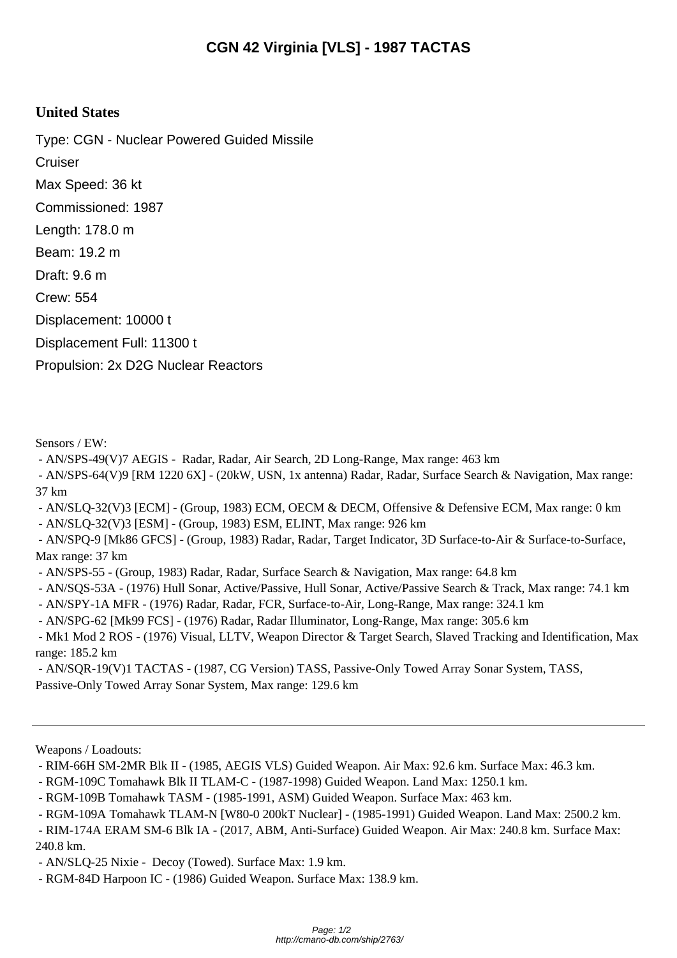## **United States**

Type: CGN - Nuclear Powered Guided Missile **Cruiser** Max Speed: 36 kt Commissioned: 1987 Length: 178.0 m Beam: 19.2 m Draft: 9.6 m Crew: 554 Displacement: 10000 t Displacement Full: 11300 t Propulsion: 2x D2G Nuclear Reactors

Sensors / EW:

- AN/SPS-49(V)7 AEGIS - Radar, Radar, Air Search, 2D Long-Range, Max range: 463 km

 - AN/SPS-64(V)9 [RM 1220 6X] - (20kW, USN, 1x antenna) Radar, Radar, Surface Search & Navigation, Max range: 37 km

- AN/SLQ-32(V)3 [ECM] - (Group, 1983) ECM, OECM & DECM, Offensive & Defensive ECM, Max range: 0 km

- AN/SLQ-32(V)3 [ESM] - (Group, 1983) ESM, ELINT, Max range: 926 km

 - AN/SPQ-9 [Mk86 GFCS] - (Group, 1983) Radar, Radar, Target Indicator, 3D Surface-to-Air & Surface-to-Surface, Max range: 37 km

- AN/SPS-55 - (Group, 1983) Radar, Radar, Surface Search & Navigation, Max range: 64.8 km

- AN/SQS-53A - (1976) Hull Sonar, Active/Passive, Hull Sonar, Active/Passive Search & Track, Max range: 74.1 km

- AN/SPY-1A MFR - (1976) Radar, Radar, FCR, Surface-to-Air, Long-Range, Max range: 324.1 km

- AN/SPG-62 [Mk99 FCS] - (1976) Radar, Radar Illuminator, Long-Range, Max range: 305.6 km

 - Mk1 Mod 2 ROS - (1976) Visual, LLTV, Weapon Director & Target Search, Slaved Tracking and Identification, Max range: 185.2 km

 - AN/SQR-19(V)1 TACTAS - (1987, CG Version) TASS, Passive-Only Towed Array Sonar System, TASS, Passive-Only Towed Array Sonar System, Max range: 129.6 km

Weapons / Loadouts:

- RIM-66H SM-2MR Blk II - (1985, AEGIS VLS) Guided Weapon. Air Max: 92.6 km. Surface Max: 46.3 km.

- RGM-109C Tomahawk Blk II TLAM-C - (1987-1998) Guided Weapon. Land Max: 1250.1 km.

- RGM-109B Tomahawk TASM - (1985-1991, ASM) Guided Weapon. Surface Max: 463 km.

- RGM-109A Tomahawk TLAM-N [W80-0 200kT Nuclear] - (1985-1991) Guided Weapon. Land Max: 2500.2 km.

 - RIM-174A ERAM SM-6 Blk IA - (2017, ABM, Anti-Surface) Guided Weapon. Air Max: 240.8 km. Surface Max: 240.8 km.

- AN/SLQ-25 Nixie - Decoy (Towed). Surface Max: 1.9 km.

- RGM-84D Harpoon IC - (1986) Guided Weapon. Surface Max: 138.9 km.